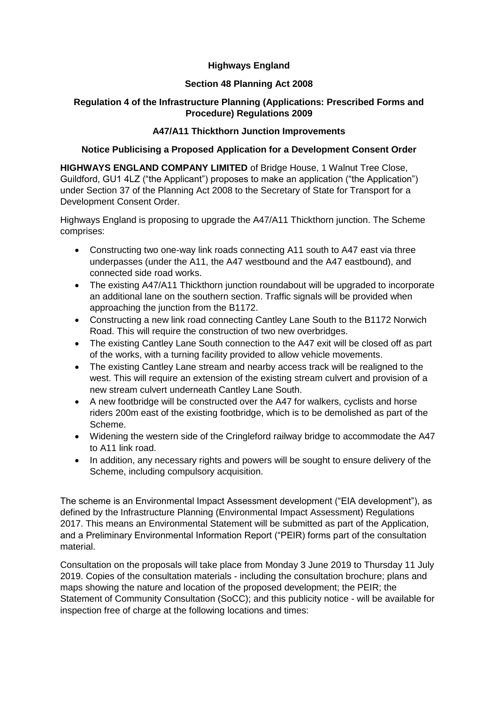## **Highways England**

## **Section 48 Planning Act 2008**

# **Regulation 4 of the Infrastructure Planning (Applications: Prescribed Forms and Procedure) Regulations 2009**

# **A47/A11 Thickthorn Junction Improvements**

## **Notice Publicising a Proposed Application for a Development Consent Order**

**HIGHWAYS ENGLAND COMPANY LIMITED** of Bridge House, 1 Walnut Tree Close, Guildford, GU1 4LZ ("the Applicant") proposes to make an application ("the Application") under Section 37 of the Planning Act 2008 to the Secretary of State for Transport for a Development Consent Order.

Highways England is proposing to upgrade the A47/A11 Thickthorn junction. The Scheme comprises:

- Constructing two one-way link roads connecting A11 south to A47 east via three underpasses (under the A11, the A47 westbound and the A47 eastbound), and connected side road works.
- The existing A47/A11 Thickthorn junction roundabout will be upgraded to incorporate an additional lane on the southern section. Traffic signals will be provided when approaching the junction from the B1172.
- Constructing a new link road connecting Cantley Lane South to the B1172 Norwich Road. This will require the construction of two new overbridges.
- The existing Cantley Lane South connection to the A47 exit will be closed off as part of the works, with a turning facility provided to allow vehicle movements.
- The existing Cantley Lane stream and nearby access track will be realigned to the west. This will require an extension of the existing stream culvert and provision of a new stream culvert underneath Cantley Lane South.
- A new footbridge will be constructed over the A47 for walkers, cyclists and horse riders 200m east of the existing footbridge, which is to be demolished as part of the Scheme.
- Widening the western side of the Cringleford railway bridge to accommodate the A47 to A11 link road.
- In addition, any necessary rights and powers will be sought to ensure delivery of the Scheme, including compulsory acquisition.

The scheme is an Environmental Impact Assessment development ("EIA development"), as defined by the Infrastructure Planning (Environmental Impact Assessment) Regulations 2017. This means an Environmental Statement will be submitted as part of the Application, and a Preliminary Environmental Information Report ("PEIR) forms part of the consultation material.

Consultation on the proposals will take place from Monday 3 June 2019 to Thursday 11 July 2019. Copies of the consultation materials - including the consultation brochure; plans and maps showing the nature and location of the proposed development; the PEIR; the Statement of Community Consultation (SoCC); and this publicity notice - will be available for inspection free of charge at the following locations and times: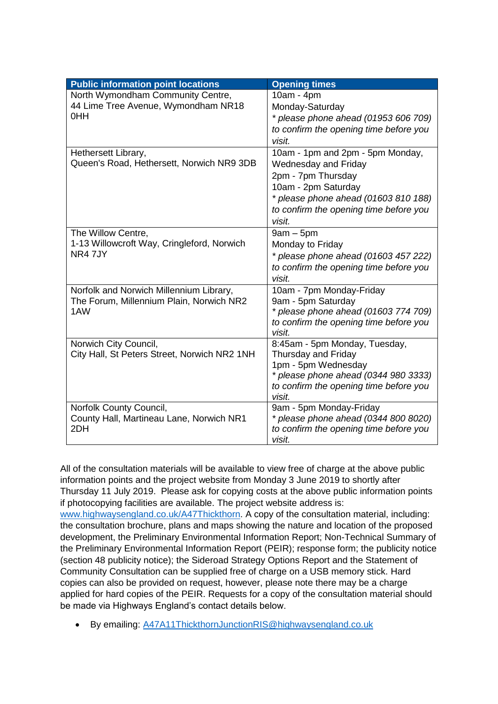| <b>Public information point locations</b>    | <b>Opening times</b>                       |
|----------------------------------------------|--------------------------------------------|
| North Wymondham Community Centre,            | 10am - 4pm                                 |
| 44 Lime Tree Avenue, Wymondham NR18          | Monday-Saturday                            |
| 0HH                                          | * please phone ahead (01953 606 709)       |
|                                              | to confirm the opening time before you     |
|                                              | visit.                                     |
| Hethersett Library,                          | 10am - 1pm and 2pm - 5pm Monday,           |
| Queen's Road, Hethersett, Norwich NR9 3DB    | <b>Wednesday and Friday</b>                |
|                                              | 2pm - 7pm Thursday                         |
|                                              | 10am - 2pm Saturday                        |
|                                              | * please phone ahead (01603 810 188)       |
|                                              | to confirm the opening time before you     |
|                                              | visit.                                     |
| The Willow Centre,                           | $9am - 5pm$                                |
| 1-13 Willowcroft Way, Cringleford, Norwich   | Monday to Friday                           |
| NR4 7JY                                      | * please phone ahead (01603 457 222)       |
|                                              | to confirm the opening time before you     |
|                                              | visit.                                     |
| Norfolk and Norwich Millennium Library,      | 10am - 7pm Monday-Friday                   |
| The Forum, Millennium Plain, Norwich NR2     | 9am - 5pm Saturday                         |
| 1AW                                          | * please phone ahead (01603 774 709)       |
|                                              | to confirm the opening time before you     |
|                                              | visit.                                     |
| Norwich City Council,                        | 8:45am - 5pm Monday, Tuesday,              |
| City Hall, St Peters Street, Norwich NR2 1NH | Thursday and Friday<br>1pm - 5pm Wednesday |
|                                              | * please phone ahead (0344 980 3333)       |
|                                              | to confirm the opening time before you     |
|                                              | visit.                                     |
| Norfolk County Council,                      | 9am - 5pm Monday-Friday                    |
| County Hall, Martineau Lane, Norwich NR1     | * please phone ahead (0344 800 8020)       |
| 2DH                                          | to confirm the opening time before you     |
|                                              | visit.                                     |

All of the consultation materials will be available to view free of charge at the above public information points and the project website from Monday 3 June 2019 to shortly after Thursday 11 July 2019. Please ask for copying costs at the above public information points if photocopying facilities are available. The project website address is: [www.highwaysengland.co.uk/A47Thickthorn.](http://highwaysengland.co.uk/projects/a47-thickthorn-junction/) A copy of the consultation material, including: the consultation brochure, plans and maps showing the nature and location of the proposed development, the Preliminary Environmental Information Report; Non-Technical Summary of the Preliminary Environmental Information Report (PEIR); response form; the publicity notice (section 48 publicity notice); the Sideroad Strategy Options Report and the Statement of Community Consultation can be supplied free of charge on a USB memory stick. Hard copies can also be provided on request, however, please note there may be a charge applied for hard copies of the PEIR. Requests for a copy of the consultation material should be made via Highways England's contact details below.

• By emailing: [A47A11ThickthornJunctionRIS@highwaysengland.co.uk](mailto:A47A11ThickthornJunctionRIS@highwaysengland.co.uk)